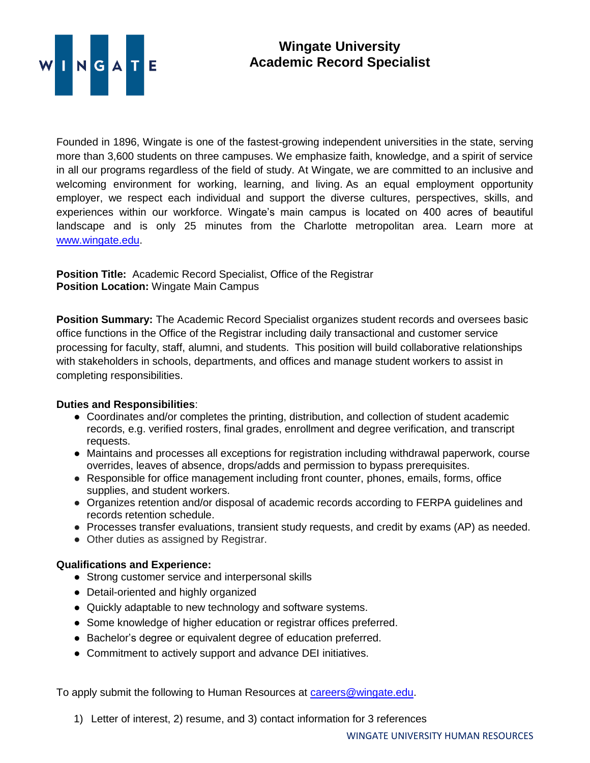

## **Wingate University Academic Record Specialist**

Founded in 1896, Wingate is one of the fastest-growing independent universities in the state, serving more than 3,600 students on three campuses. We emphasize faith, knowledge, and a spirit of service in all our programs regardless of the field of study. At Wingate, we are committed to an inclusive and welcoming environment for working, learning, and living. As an equal employment opportunity employer, we respect each individual and support the diverse cultures, perspectives, skills, and experiences within our workforce. Wingate's main campus is located on 400 acres of beautiful landscape and is only 25 minutes from the Charlotte metropolitan area. Learn more at [www.wingate.edu.](http://www.wingate/edu)

**Position Title:** Academic Record Specialist, Office of the Registrar **Position Location:** Wingate Main Campus

**Position Summary:** The Academic Record Specialist organizes student records and oversees basic office functions in the Office of the Registrar including daily transactional and customer service processing for faculty, staff, alumni, and students. This position will build collaborative relationships with stakeholders in schools, departments, and offices and manage student workers to assist in completing responsibilities.

## **Duties and Responsibilities**:

- Coordinates and/or completes the printing, distribution, and collection of student academic records, e.g. verified rosters, final grades, enrollment and degree verification, and transcript requests.
- Maintains and processes all exceptions for registration including withdrawal paperwork, course overrides, leaves of absence, drops/adds and permission to bypass prerequisites.
- Responsible for office management including front counter, phones, emails, forms, office supplies, and student workers.
- Organizes retention and/or disposal of academic records according to FERPA guidelines and records retention schedule.
- Processes transfer evaluations, transient study requests, and credit by exams (AP) as needed.
- Other duties as assigned by Registrar.

## **Qualifications and Experience:**

- Strong customer service and interpersonal skills
- Detail-oriented and highly organized
- Quickly adaptable to new technology and software systems.
- Some knowledge of higher education or registrar offices preferred.
- Bachelor's degree or equivalent degree of education preferred.
- Commitment to actively support and advance DEI initiatives.

To apply submit the following to Human Resources at [careers@wingate.edu.](mailto:careers@wingate.edu)

1) Letter of interest, 2) resume, and 3) contact information for 3 references